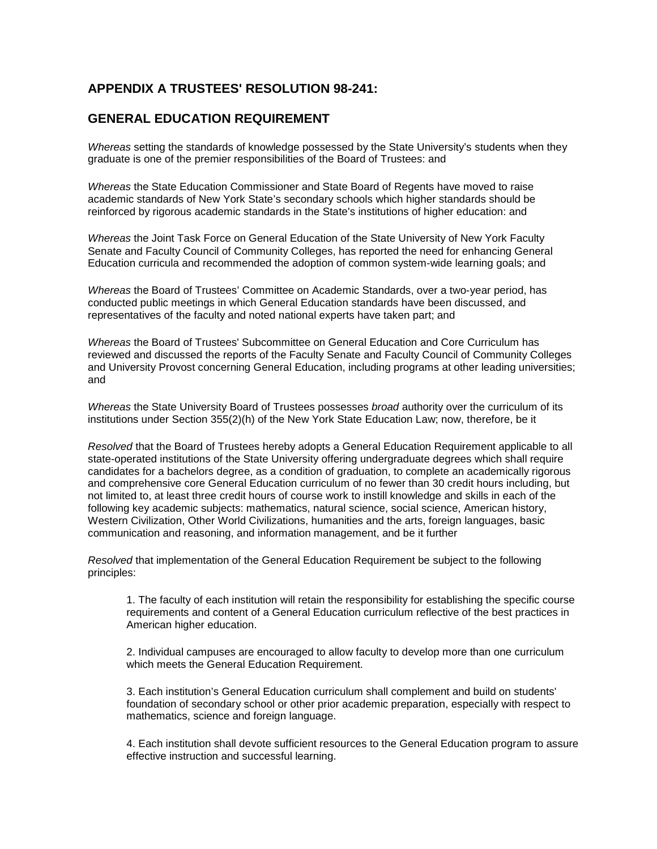## **APPENDIX A TRUSTEES' RESOLUTION 98-241:**

## **GENERAL EDUCATION REQUIREMENT**

*Whereas* setting the standards of knowledge possessed by the State University's students when they graduate is one of the premier responsibilities of the Board of Trustees: and

*Whereas* the State Education Commissioner and State Board of Regents have moved to raise academic standards of New York State's secondary schools which higher standards should be reinforced by rigorous academic standards in the State's institutions of higher education: and

*Whereas* the Joint Task Force on General Education of the State University of New York Faculty Senate and Faculty Council of Community Colleges, has reported the need for enhancing General Education curricula and recommended the adoption of common system-wide learning goals; and

*Whereas* the Board of Trustees' Committee on Academic Standards, over a two-year period, has conducted public meetings in which General Education standards have been discussed, and representatives of the faculty and noted national experts have taken part; and

*Whereas* the Board of Trustees' Subcommittee on General Education and Core Curriculum has reviewed and discussed the reports of the Faculty Senate and Faculty Council of Community Colleges and University Provost concerning General Education, including programs at other leading universities; and

*Whereas* the State University Board of Trustees possesses *broad* authority over the curriculum of its institutions under Section 355(2)(h) of the New York State Education Law; now, therefore, be it

*Resolved* that the Board of Trustees hereby adopts a General Education Requirement applicable to all state-operated institutions of the State University offering undergraduate degrees which shall require candidates for a bachelors degree, as a condition of graduation, to complete an academically rigorous and comprehensive core General Education curriculum of no fewer than 30 credit hours including, but not limited to, at least three credit hours of course work to instill knowledge and skills in each of the following key academic subjects: mathematics, natural science, social science, American history, Western Civilization, Other World Civilizations, humanities and the arts, foreign languages, basic communication and reasoning, and information management, and be it further

*Resolved* that implementation of the General Education Requirement be subject to the following principles:

1. The faculty of each institution will retain the responsibility for establishing the specific course requirements and content of a General Education curriculum reflective of the best practices in American higher education.

2. Individual campuses are encouraged to allow faculty to develop more than one curriculum which meets the General Education Requirement.

3. Each institution's General Education curriculum shall complement and build on students' foundation of secondary school or other prior academic preparation, especially with respect to mathematics, science and foreign language.

4. Each institution shall devote sufficient resources to the General Education program to assure effective instruction and successful learning.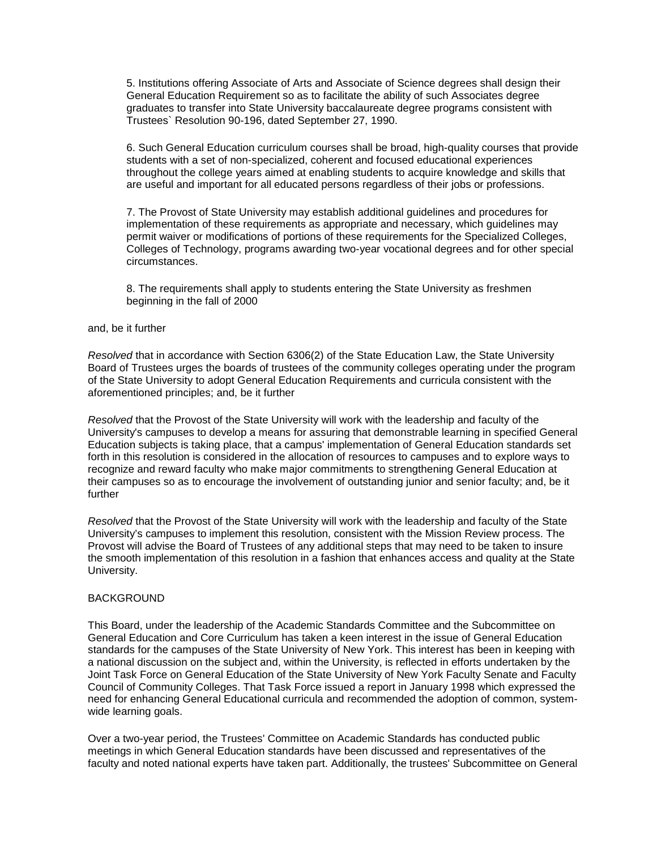5. Institutions offering Associate of Arts and Associate of Science degrees shall design their General Education Requirement so as to facilitate the ability of such Associates degree graduates to transfer into State University baccalaureate degree programs consistent with Trustees` Resolution 90-196, dated September 27, 1990.

6. Such General Education curriculum courses shall be broad, high-quality courses that provide students with a set of non-specialized, coherent and focused educational experiences throughout the college years aimed at enabling students to acquire knowledge and skills that are useful and important for all educated persons regardless of their jobs or professions.

7. The Provost of State University may establish additional guidelines and procedures for implementation of these requirements as appropriate and necessary, which guidelines may permit waiver or modifications of portions of these requirements for the Specialized Colleges, Colleges of Technology, programs awarding two-year vocational degrees and for other special circumstances.

8. The requirements shall apply to students entering the State University as freshmen beginning in the fall of 2000

## and, be it further

*Resolved* that in accordance with Section 6306(2) of the State Education Law, the State University Board of Trustees urges the boards of trustees of the community colleges operating under the program of the State University to adopt General Education Requirements and curricula consistent with the aforementioned principles; and, be it further

*Resolved* that the Provost of the State University will work with the leadership and faculty of the University's campuses to develop a means for assuring that demonstrable learning in specified General Education subjects is taking place, that a campus' implementation of General Education standards set forth in this resolution is considered in the allocation of resources to campuses and to explore ways to recognize and reward faculty who make major commitments to strengthening General Education at their campuses so as to encourage the involvement of outstanding junior and senior faculty; and, be it further

*Resolved* that the Provost of the State University will work with the leadership and faculty of the State University's campuses to implement this resolution, consistent with the Mission Review process. The Provost will advise the Board of Trustees of any additional steps that may need to be taken to insure the smooth implementation of this resolution in a fashion that enhances access and quality at the State University.

## **BACKGROUND**

This Board, under the leadership of the Academic Standards Committee and the Subcommittee on General Education and Core Curriculum has taken a keen interest in the issue of General Education standards for the campuses of the State University of New York. This interest has been in keeping with a national discussion on the subject and, within the University, is reflected in efforts undertaken by the Joint Task Force on General Education of the State University of New York Faculty Senate and Faculty Council of Community Colleges. That Task Force issued a report in January 1998 which expressed the need for enhancing General Educational curricula and recommended the adoption of common, systemwide learning goals.

Over a two-year period, the Trustees' Committee on Academic Standards has conducted public meetings in which General Education standards have been discussed and representatives of the faculty and noted national experts have taken part. Additionally, the trustees' Subcommittee on General